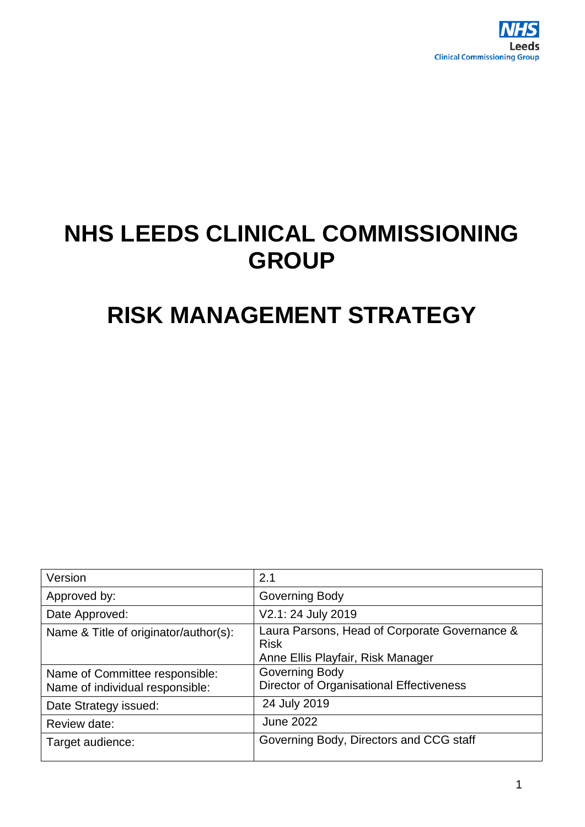

# **NHS LEEDS CLINICAL COMMISSIONING GROUP**

# **RISK MANAGEMENT STRATEGY**

| Version                                                           | 2.1                                                                                               |
|-------------------------------------------------------------------|---------------------------------------------------------------------------------------------------|
| Approved by:                                                      | Governing Body                                                                                    |
| Date Approved:                                                    | V2.1: 24 July 2019                                                                                |
| Name & Title of originator/author(s):                             | Laura Parsons, Head of Corporate Governance &<br><b>Risk</b><br>Anne Ellis Playfair, Risk Manager |
| Name of Committee responsible:<br>Name of individual responsible: | Governing Body<br>Director of Organisational Effectiveness                                        |
| Date Strategy issued:                                             | 24 July 2019                                                                                      |
| Review date:                                                      | <b>June 2022</b>                                                                                  |
| Target audience:                                                  | Governing Body, Directors and CCG staff                                                           |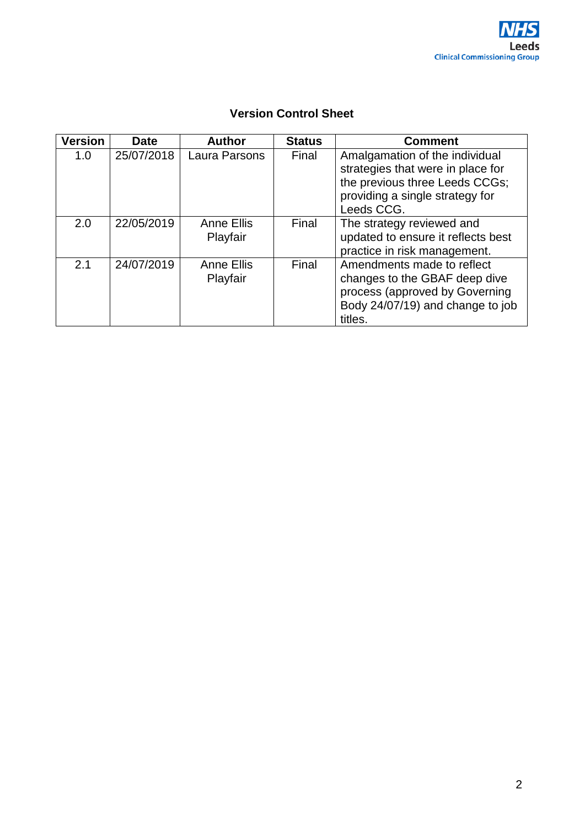

| <b>Version</b> | <b>Date</b> | <b>Author</b>                 | <b>Status</b> | <b>Comment</b>                                                                                                                                         |
|----------------|-------------|-------------------------------|---------------|--------------------------------------------------------------------------------------------------------------------------------------------------------|
| 1.0            | 25/07/2018  | Laura Parsons                 | Final         | Amalgamation of the individual<br>strategies that were in place for<br>the previous three Leeds CCGs;<br>providing a single strategy for<br>Leeds CCG. |
| 2.0            | 22/05/2019  | <b>Anne Ellis</b><br>Playfair | Final         | The strategy reviewed and<br>updated to ensure it reflects best<br>practice in risk management.                                                        |
| 2.1            | 24/07/2019  | <b>Anne Ellis</b><br>Playfair | Final         | Amendments made to reflect<br>changes to the GBAF deep dive<br>process (approved by Governing<br>Body 24/07/19) and change to job<br>titles.           |

## **Version Control Sheet**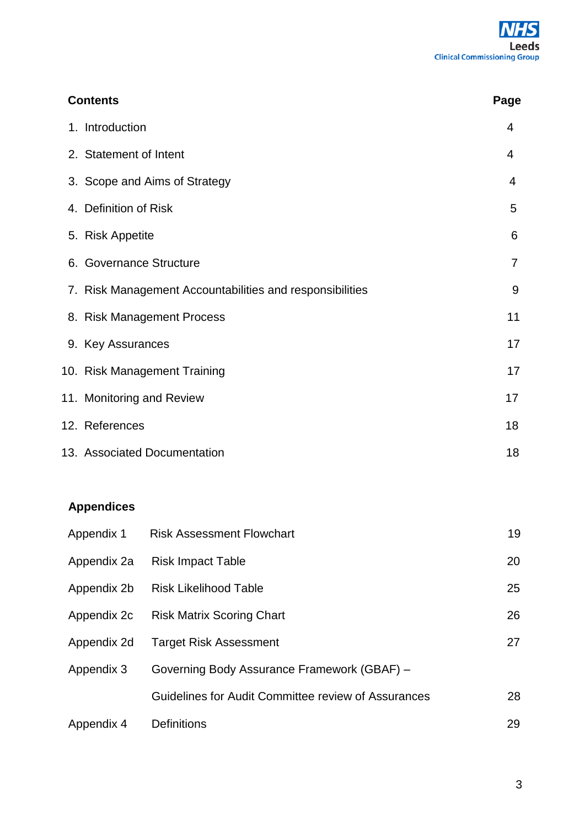| <b>Contents</b>                                          | Page           |
|----------------------------------------------------------|----------------|
| 1. Introduction                                          | 4              |
| 2. Statement of Intent                                   | 4              |
| 3. Scope and Aims of Strategy                            | 4              |
| 4. Definition of Risk                                    | 5              |
| 5. Risk Appetite                                         | 6              |
| 6. Governance Structure                                  | $\overline{7}$ |
| 7. Risk Management Accountabilities and responsibilities | 9              |
| 8. Risk Management Process                               | 11             |
| 9. Key Assurances                                        | 17             |
| 10. Risk Management Training                             | 17             |
| 11. Monitoring and Review                                | 17             |
| 12. References                                           | 18             |
| 13. Associated Documentation                             | 18             |

# **Appendices**

| Appendix 1  | <b>Risk Assessment Flowchart</b>                    | 19 |
|-------------|-----------------------------------------------------|----|
| Appendix 2a | <b>Risk Impact Table</b>                            | 20 |
| Appendix 2b | <b>Risk Likelihood Table</b>                        | 25 |
| Appendix 2c | <b>Risk Matrix Scoring Chart</b>                    | 26 |
| Appendix 2d | <b>Target Risk Assessment</b>                       | 27 |
| Appendix 3  | Governing Body Assurance Framework (GBAF) -         |    |
|             | Guidelines for Audit Committee review of Assurances | 28 |
| Appendix 4  | <b>Definitions</b>                                  | 29 |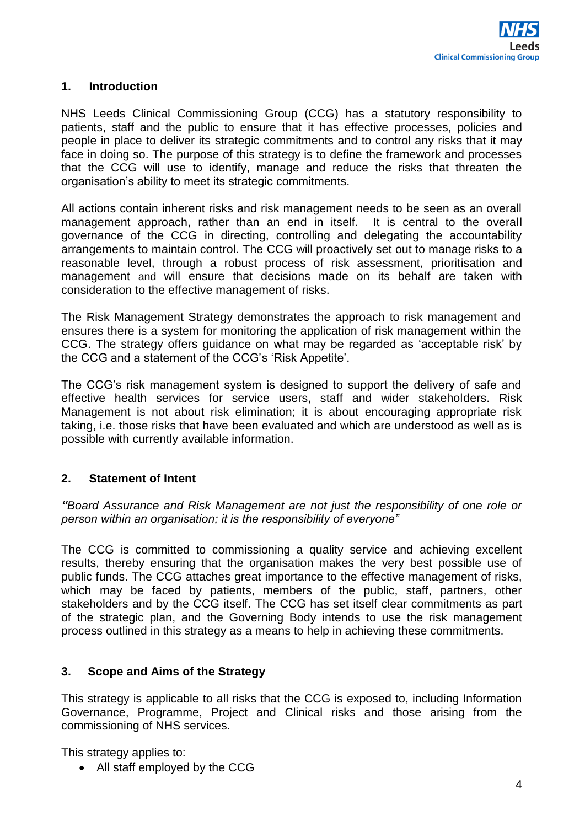#### **1. Introduction**

NHS Leeds Clinical Commissioning Group (CCG) has a statutory responsibility to patients, staff and the public to ensure that it has effective processes, policies and people in place to deliver its strategic commitments and to control any risks that it may face in doing so. The purpose of this strategy is to define the framework and processes that the CCG will use to identify, manage and reduce the risks that threaten the organisation's ability to meet its strategic commitments.

All actions contain inherent risks and risk management needs to be seen as an overall management approach, rather than an end in itself. It is central to the overall governance of the CCG in directing, controlling and delegating the accountability arrangements to maintain control. The CCG will proactively set out to manage risks to a reasonable level, through a robust process of risk assessment, prioritisation and management and will ensure that decisions made on its behalf are taken with consideration to the effective management of risks.

The Risk Management Strategy demonstrates the approach to risk management and ensures there is a system for monitoring the application of risk management within the CCG. The strategy offers guidance on what may be regarded as 'acceptable risk' by the CCG and a statement of the CCG's 'Risk Appetite'.

The CCG's risk management system is designed to support the delivery of safe and effective health services for service users, staff and wider stakeholders. Risk Management is not about risk elimination; it is about encouraging appropriate risk taking, i.e. those risks that have been evaluated and which are understood as well as is possible with currently available information.

## **2. Statement of Intent**

*"Board Assurance and Risk Management are not just the responsibility of one role or person within an organisation; it is the responsibility of everyone"* 

The CCG is committed to commissioning a quality service and achieving excellent results, thereby ensuring that the organisation makes the very best possible use of public funds. The CCG attaches great importance to the effective management of risks, which may be faced by patients, members of the public, staff, partners, other stakeholders and by the CCG itself. The CCG has set itself clear commitments as part of the strategic plan, and the Governing Body intends to use the risk management process outlined in this strategy as a means to help in achieving these commitments.

#### **3. Scope and Aims of the Strategy**

This strategy is applicable to all risks that the CCG is exposed to, including Information Governance, Programme, Project and Clinical risks and those arising from the commissioning of NHS services.

This strategy applies to:

• All staff employed by the CCG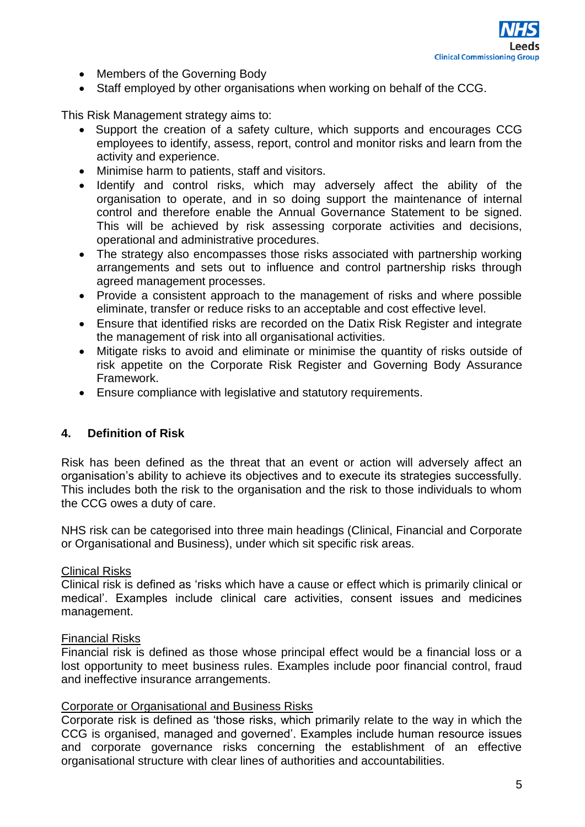- Members of the Governing Body
- Staff employed by other organisations when working on behalf of the CCG.

This Risk Management strategy aims to:

- Support the creation of a safety culture, which supports and encourages CCG employees to identify, assess, report, control and monitor risks and learn from the activity and experience.
- Minimise harm to patients, staff and visitors.
- Identify and control risks, which may adversely affect the ability of the organisation to operate, and in so doing support the maintenance of internal control and therefore enable the Annual Governance Statement to be signed. This will be achieved by risk assessing corporate activities and decisions, operational and administrative procedures.
- The strategy also encompasses those risks associated with partnership working arrangements and sets out to influence and control partnership risks through agreed management processes.
- Provide a consistent approach to the management of risks and where possible eliminate, transfer or reduce risks to an acceptable and cost effective level.
- Ensure that identified risks are recorded on the Datix Risk Register and integrate the management of risk into all organisational activities.
- Mitigate risks to avoid and eliminate or minimise the quantity of risks outside of risk appetite on the Corporate Risk Register and Governing Body Assurance Framework.
- Ensure compliance with legislative and statutory requirements.

#### **4. Definition of Risk**

Risk has been defined as the threat that an event or action will adversely affect an organisation's ability to achieve its objectives and to execute its strategies successfully. This includes both the risk to the organisation and the risk to those individuals to whom the CCG owes a duty of care.

NHS risk can be categorised into three main headings (Clinical, Financial and Corporate or Organisational and Business), under which sit specific risk areas.

#### Clinical Risks

Clinical risk is defined as 'risks which have a cause or effect which is primarily clinical or medical'. Examples include clinical care activities, consent issues and medicines management.

#### Financial Risks

Financial risk is defined as those whose principal effect would be a financial loss or a lost opportunity to meet business rules. Examples include poor financial control, fraud and ineffective insurance arrangements.

#### Corporate or Organisational and Business Risks

Corporate risk is defined as 'those risks, which primarily relate to the way in which the CCG is organised, managed and governed'. Examples include human resource issues and corporate governance risks concerning the establishment of an effective organisational structure with clear lines of authorities and accountabilities.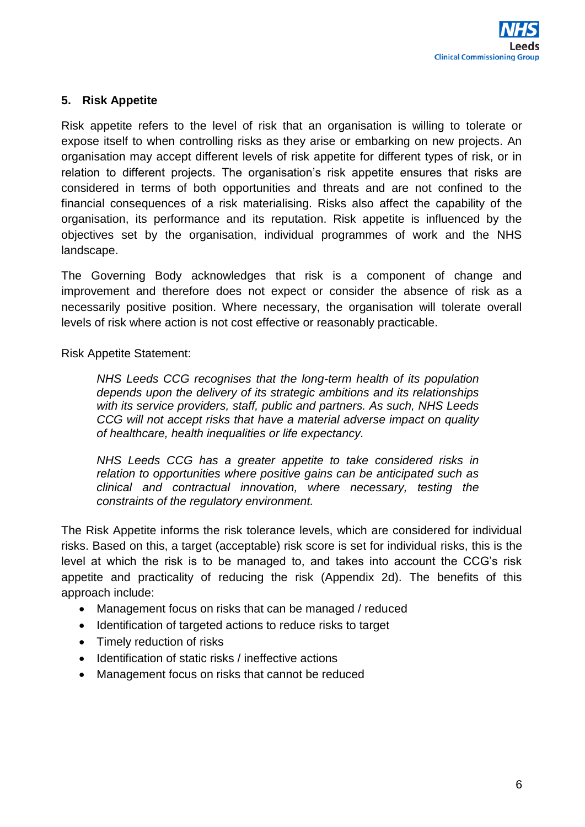## **5. Risk Appetite**

Risk appetite refers to the level of risk that an organisation is willing to tolerate or expose itself to when controlling risks as they arise or embarking on new projects. An organisation may accept different levels of risk appetite for different types of risk, or in relation to different projects. The organisation's risk appetite ensures that risks are considered in terms of both opportunities and threats and are not confined to the financial consequences of a risk materialising. Risks also affect the capability of the organisation, its performance and its reputation. Risk appetite is influenced by the objectives set by the organisation, individual programmes of work and the NHS landscape.

The Governing Body acknowledges that risk is a component of change and improvement and therefore does not expect or consider the absence of risk as a necessarily positive position. Where necessary, the organisation will tolerate overall levels of risk where action is not cost effective or reasonably practicable.

Risk Appetite Statement:

*NHS Leeds CCG recognises that the long-term health of its population depends upon the delivery of its strategic ambitions and its relationships with its service providers, staff, public and partners. As such, NHS Leeds CCG will not accept risks that have a material adverse impact on quality of healthcare, health inequalities or life expectancy.*

*NHS Leeds CCG has a greater appetite to take considered risks in relation to opportunities where positive gains can be anticipated such as clinical and contractual innovation, where necessary, testing the constraints of the regulatory environment.*

The Risk Appetite informs the risk tolerance levels, which are considered for individual risks. Based on this, a target (acceptable) risk score is set for individual risks, this is the level at which the risk is to be managed to, and takes into account the CCG's risk appetite and practicality of reducing the risk (Appendix 2d). The benefits of this approach include:

- Management focus on risks that can be managed / reduced
- Identification of targeted actions to reduce risks to target
- Timely reduction of risks
- Identification of static risks / ineffective actions
- Management focus on risks that cannot be reduced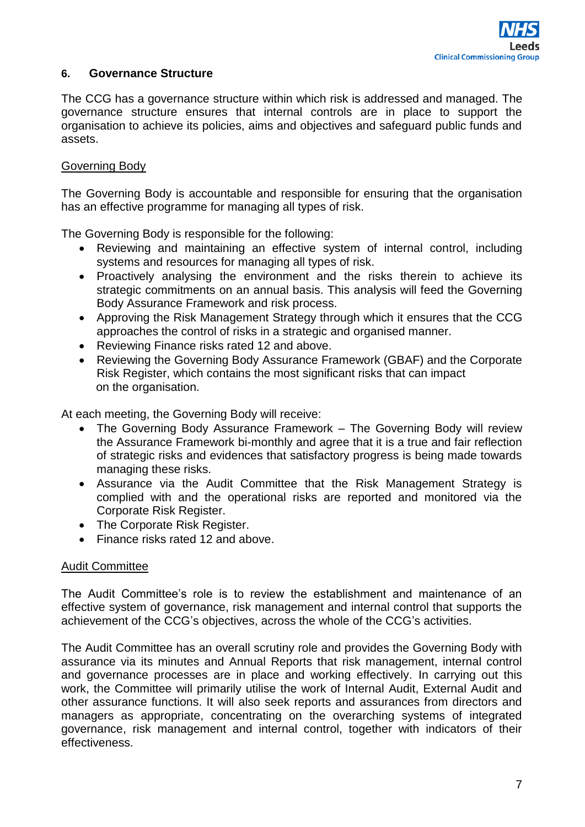#### **6. Governance Structure**

The CCG has a governance structure within which risk is addressed and managed. The governance structure ensures that internal controls are in place to support the organisation to achieve its policies, aims and objectives and safeguard public funds and assets.

#### Governing Body

The Governing Body is accountable and responsible for ensuring that the organisation has an effective programme for managing all types of risk.

The Governing Body is responsible for the following:

- Reviewing and maintaining an effective system of internal control, including systems and resources for managing all types of risk.
- Proactively analysing the environment and the risks therein to achieve its strategic commitments on an annual basis. This analysis will feed the Governing Body Assurance Framework and risk process.
- Approving the Risk Management Strategy through which it ensures that the CCG approaches the control of risks in a strategic and organised manner.
- Reviewing Finance risks rated 12 and above.
- Reviewing the Governing Body Assurance Framework (GBAF) and the Corporate Risk Register, which contains the most significant risks that can impact on the organisation.

At each meeting, the Governing Body will receive:

- The Governing Body Assurance Framework The Governing Body will review the Assurance Framework bi-monthly and agree that it is a true and fair reflection of strategic risks and evidences that satisfactory progress is being made towards managing these risks.
- Assurance via the Audit Committee that the Risk Management Strategy is complied with and the operational risks are reported and monitored via the Corporate Risk Register.
- The Corporate Risk Register.
- Finance risks rated 12 and above.

#### Audit Committee

The Audit Committee's role is to review the establishment and maintenance of an effective system of governance, risk management and internal control that supports the achievement of the CCG's objectives, across the whole of the CCG's activities.

The Audit Committee has an overall scrutiny role and provides the Governing Body with assurance via its minutes and Annual Reports that risk management, internal control and governance processes are in place and working effectively. In carrying out this work, the Committee will primarily utilise the work of Internal Audit, External Audit and other assurance functions. It will also seek reports and assurances from directors and managers as appropriate, concentrating on the overarching systems of integrated governance, risk management and internal control, together with indicators of their effectiveness.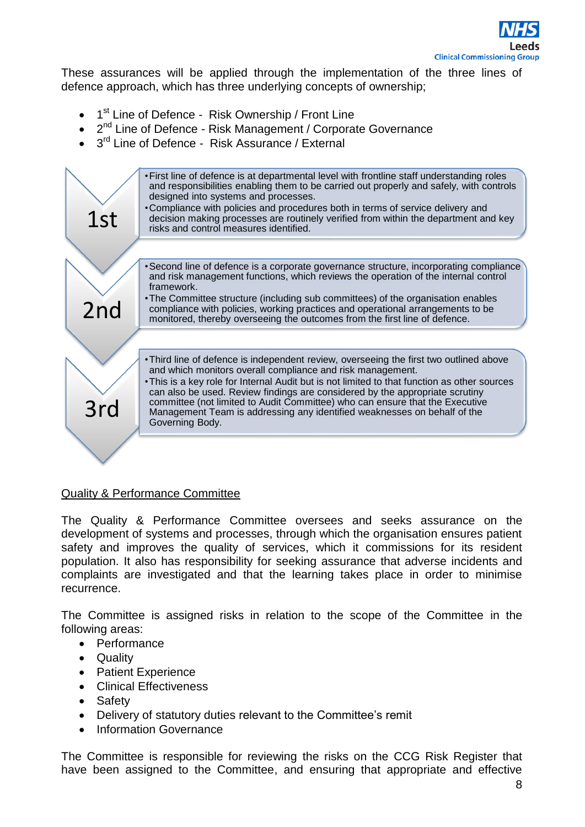

These assurances will be applied through the implementation of the three lines of defence approach, which has three underlying concepts of ownership;

- 1<sup>st</sup> Line of Defence Risk Ownership / Front Line
- 2<sup>nd</sup> Line of Defence Risk Management / Corporate Governance
- 3<sup>rd</sup> Line of Defence Risk Assurance / External



#### Quality & Performance Committee

The Quality & Performance Committee oversees and seeks assurance on the development of systems and processes, through which the organisation ensures patient safety and improves the quality of services, which it commissions for its resident population. It also has responsibility for seeking assurance that adverse incidents and complaints are investigated and that the learning takes place in order to minimise recurrence.

The Committee is assigned risks in relation to the scope of the Committee in the following areas:

- Performance
- Quality
- Patient Experience
- Clinical Effectiveness
- Safety
- Delivery of statutory duties relevant to the Committee's remit
- Information Governance

The Committee is responsible for reviewing the risks on the CCG Risk Register that have been assigned to the Committee, and ensuring that appropriate and effective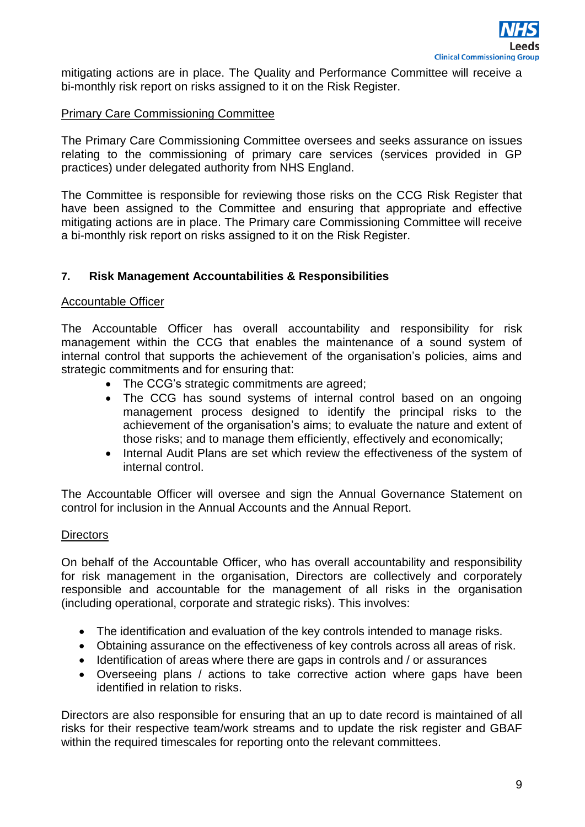mitigating actions are in place. The Quality and Performance Committee will receive a bi-monthly risk report on risks assigned to it on the Risk Register.

## Primary Care Commissioning Committee

The Primary Care Commissioning Committee oversees and seeks assurance on issues relating to the commissioning of primary care services (services provided in GP practices) under delegated authority from NHS England.

The Committee is responsible for reviewing those risks on the CCG Risk Register that have been assigned to the Committee and ensuring that appropriate and effective mitigating actions are in place. The Primary care Commissioning Committee will receive a bi-monthly risk report on risks assigned to it on the Risk Register.

## **7. Risk Management Accountabilities & Responsibilities**

#### Accountable Officer

The Accountable Officer has overall accountability and responsibility for risk management within the CCG that enables the maintenance of a sound system of internal control that supports the achievement of the organisation's policies, aims and strategic commitments and for ensuring that:

- The CCG's strategic commitments are agreed;
- The CCG has sound systems of internal control based on an ongoing management process designed to identify the principal risks to the achievement of the organisation's aims; to evaluate the nature and extent of those risks; and to manage them efficiently, effectively and economically;
- Internal Audit Plans are set which review the effectiveness of the system of internal control.

The Accountable Officer will oversee and sign the Annual Governance Statement on control for inclusion in the Annual Accounts and the Annual Report.

#### **Directors**

On behalf of the Accountable Officer, who has overall accountability and responsibility for risk management in the organisation, Directors are collectively and corporately responsible and accountable for the management of all risks in the organisation (including operational, corporate and strategic risks). This involves:

- The identification and evaluation of the key controls intended to manage risks.
- Obtaining assurance on the effectiveness of key controls across all areas of risk.
- Identification of areas where there are gaps in controls and / or assurances
- Overseeing plans / actions to take corrective action where gaps have been identified in relation to risks.

Directors are also responsible for ensuring that an up to date record is maintained of all risks for their respective team/work streams and to update the risk register and GBAF within the required timescales for reporting onto the relevant committees.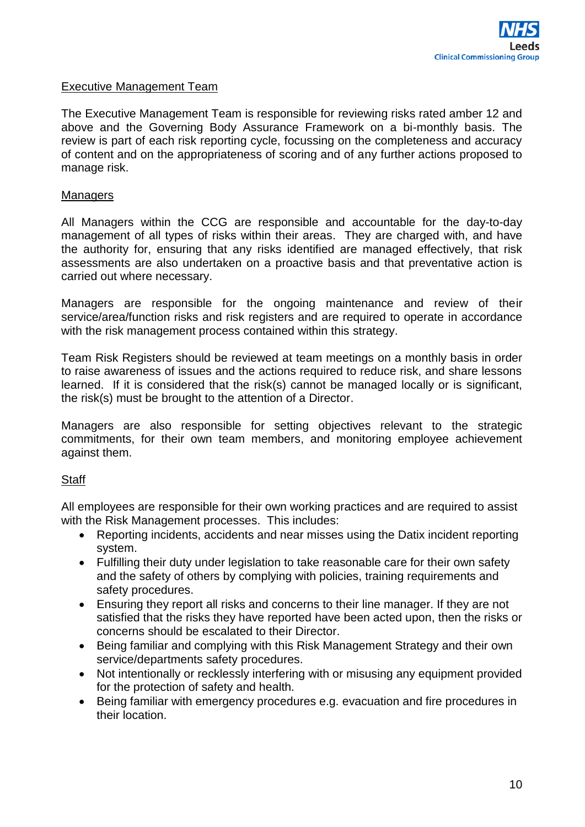#### Executive Management Team

The Executive Management Team is responsible for reviewing risks rated amber 12 and above and the Governing Body Assurance Framework on a bi-monthly basis. The review is part of each risk reporting cycle, focussing on the completeness and accuracy of content and on the appropriateness of scoring and of any further actions proposed to manage risk.

#### **Managers**

All Managers within the CCG are responsible and accountable for the day-to-day management of all types of risks within their areas. They are charged with, and have the authority for, ensuring that any risks identified are managed effectively, that risk assessments are also undertaken on a proactive basis and that preventative action is carried out where necessary.

Managers are responsible for the ongoing maintenance and review of their service/area/function risks and risk registers and are required to operate in accordance with the risk management process contained within this strategy.

Team Risk Registers should be reviewed at team meetings on a monthly basis in order to raise awareness of issues and the actions required to reduce risk, and share lessons learned. If it is considered that the risk(s) cannot be managed locally or is significant, the risk(s) must be brought to the attention of a Director.

Managers are also responsible for setting objectives relevant to the strategic commitments, for their own team members, and monitoring employee achievement against them.

#### **Staff**

All employees are responsible for their own working practices and are required to assist with the Risk Management processes. This includes:

- Reporting incidents, accidents and near misses using the Datix incident reporting system.
- Fulfilling their duty under legislation to take reasonable care for their own safety and the safety of others by complying with policies, training requirements and safety procedures.
- Ensuring they report all risks and concerns to their line manager. If they are not satisfied that the risks they have reported have been acted upon, then the risks or concerns should be escalated to their Director.
- Being familiar and complying with this Risk Management Strategy and their own service/departments safety procedures.
- Not intentionally or recklessly interfering with or misusing any equipment provided for the protection of safety and health.
- Being familiar with emergency procedures e.g. evacuation and fire procedures in their location.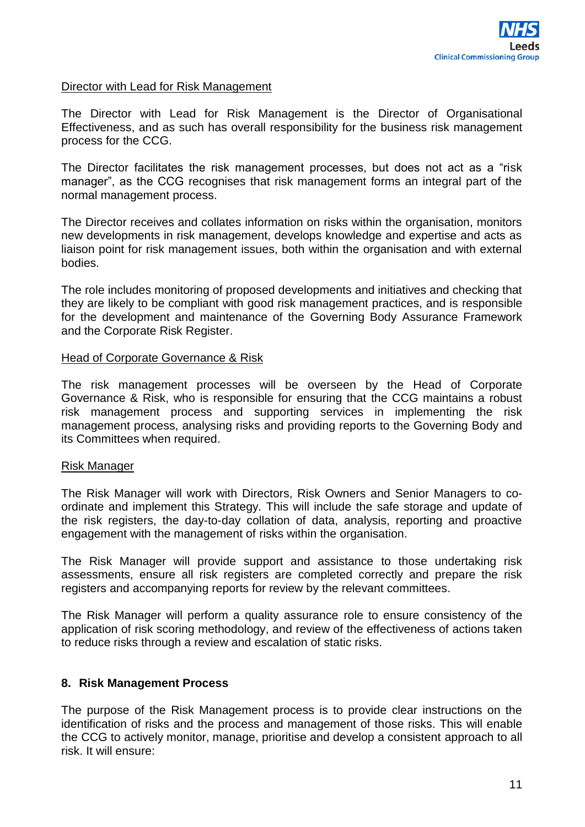#### Director with Lead for Risk Management

The Director with Lead for Risk Management is the Director of Organisational Effectiveness, and as such has overall responsibility for the business risk management process for the CCG.

The Director facilitates the risk management processes, but does not act as a "risk manager", as the CCG recognises that risk management forms an integral part of the normal management process.

The Director receives and collates information on risks within the organisation, monitors new developments in risk management, develops knowledge and expertise and acts as liaison point for risk management issues, both within the organisation and with external bodies.

The role includes monitoring of proposed developments and initiatives and checking that they are likely to be compliant with good risk management practices, and is responsible for the development and maintenance of the Governing Body Assurance Framework and the Corporate Risk Register.

#### Head of Corporate Governance & Risk

The risk management processes will be overseen by the Head of Corporate Governance & Risk, who is responsible for ensuring that the CCG maintains a robust risk management process and supporting services in implementing the risk management process, analysing risks and providing reports to the Governing Body and its Committees when required.

#### Risk Manager

The Risk Manager will work with Directors, Risk Owners and Senior Managers to coordinate and implement this Strategy. This will include the safe storage and update of the risk registers, the day-to-day collation of data, analysis, reporting and proactive engagement with the management of risks within the organisation.

The Risk Manager will provide support and assistance to those undertaking risk assessments, ensure all risk registers are completed correctly and prepare the risk registers and accompanying reports for review by the relevant committees.

The Risk Manager will perform a quality assurance role to ensure consistency of the application of risk scoring methodology, and review of the effectiveness of actions taken to reduce risks through a review and escalation of static risks.

#### **8. Risk Management Process**

The purpose of the Risk Management process is to provide clear instructions on the identification of risks and the process and management of those risks. This will enable the CCG to actively monitor, manage, prioritise and develop a consistent approach to all risk. It will ensure: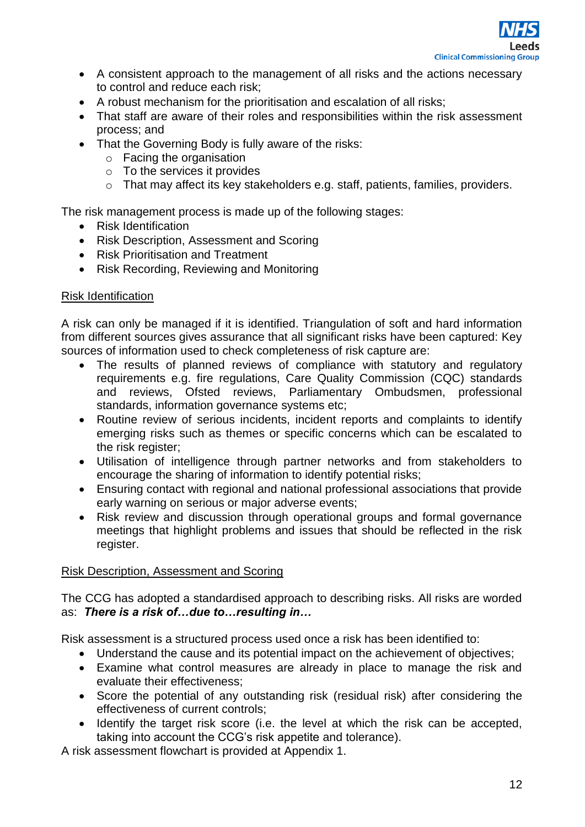

- A consistent approach to the management of all risks and the actions necessary to control and reduce each risk;
- A robust mechanism for the prioritisation and escalation of all risks;
- That staff are aware of their roles and responsibilities within the risk assessment process; and
- That the Governing Body is fully aware of the risks:
	- o Facing the organisation
	- o To the services it provides
	- o That may affect its key stakeholders e.g. staff, patients, families, providers.

The risk management process is made up of the following stages:

- Risk Identification
- Risk Description, Assessment and Scoring
- Risk Prioritisation and Treatment
- Risk Recording, Reviewing and Monitoring

## Risk Identification

A risk can only be managed if it is identified. Triangulation of soft and hard information from different sources gives assurance that all significant risks have been captured: Key sources of information used to check completeness of risk capture are:

- The results of planned reviews of compliance with statutory and regulatory requirements e.g. fire regulations, Care Quality Commission (CQC) standards and reviews, Ofsted reviews, Parliamentary Ombudsmen, professional standards, information governance systems etc;
- Routine review of serious incidents, incident reports and complaints to identify emerging risks such as themes or specific concerns which can be escalated to the risk register:
- Utilisation of intelligence through partner networks and from stakeholders to encourage the sharing of information to identify potential risks;
- Ensuring contact with regional and national professional associations that provide early warning on serious or major adverse events;
- Risk review and discussion through operational groups and formal governance meetings that highlight problems and issues that should be reflected in the risk register.

## Risk Description, Assessment and Scoring

The CCG has adopted a standardised approach to describing risks. All risks are worded as: *There is a risk of…due to…resulting in…*

Risk assessment is a structured process used once a risk has been identified to:

- Understand the cause and its potential impact on the achievement of objectives;
- Examine what control measures are already in place to manage the risk and evaluate their effectiveness;
- Score the potential of any outstanding risk (residual risk) after considering the effectiveness of current controls;
- Identify the target risk score (i.e. the level at which the risk can be accepted, taking into account the CCG's risk appetite and tolerance).

A risk assessment flowchart is provided at Appendix 1.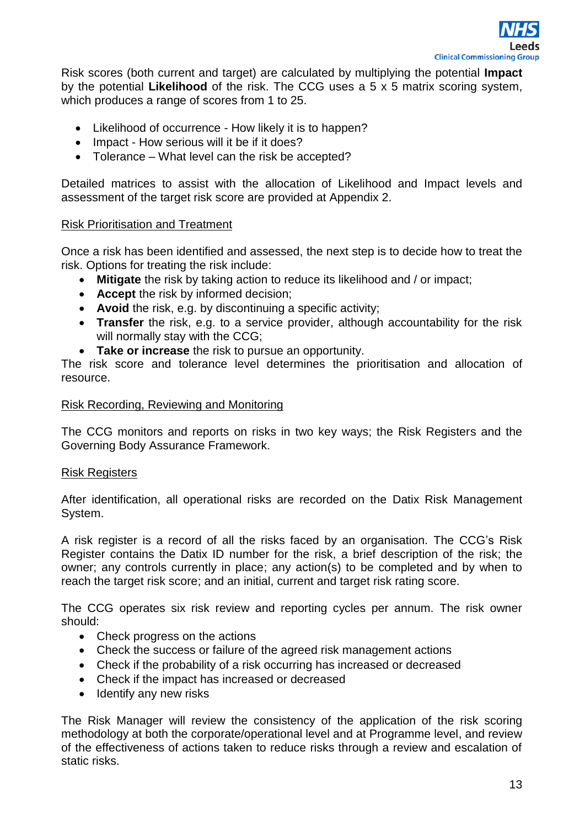

Risk scores (both current and target) are calculated by multiplying the potential **Impact** by the potential **Likelihood** of the risk. The CCG uses a 5 x 5 matrix scoring system, which produces a range of scores from 1 to 25.

- Likelihood of occurrence How likely it is to happen?
- Impact How serious will it be if it does?
- Tolerance What level can the risk be accepted?

Detailed matrices to assist with the allocation of Likelihood and Impact levels and assessment of the target risk score are provided at Appendix 2.

#### Risk Prioritisation and Treatment

Once a risk has been identified and assessed, the next step is to decide how to treat the risk. Options for treating the risk include:

- **Mitigate** the risk by taking action to reduce its likelihood and / or impact;
- **Accept** the risk by informed decision;
- **Avoid** the risk, e.g. by discontinuing a specific activity;
- **Transfer** the risk, e.g. to a service provider, although accountability for the risk will normally stay with the CCG;
- **Take or increase** the risk to pursue an opportunity.

The risk score and tolerance level determines the prioritisation and allocation of resource.

#### Risk Recording, Reviewing and Monitoring

The CCG monitors and reports on risks in two key ways; the Risk Registers and the Governing Body Assurance Framework.

#### Risk Registers

After identification, all operational risks are recorded on the Datix Risk Management System.

A risk register is a record of all the risks faced by an organisation. The CCG's Risk Register contains the Datix ID number for the risk, a brief description of the risk; the owner; any controls currently in place; any action(s) to be completed and by when to reach the target risk score; and an initial, current and target risk rating score.

The CCG operates six risk review and reporting cycles per annum. The risk owner should:

- Check progress on the actions
- Check the success or failure of the agreed risk management actions
- Check if the probability of a risk occurring has increased or decreased
- Check if the impact has increased or decreased
- $\bullet$  Identify any new risks

The Risk Manager will review the consistency of the application of the risk scoring methodology at both the corporate/operational level and at Programme level, and review of the effectiveness of actions taken to reduce risks through a review and escalation of static risks.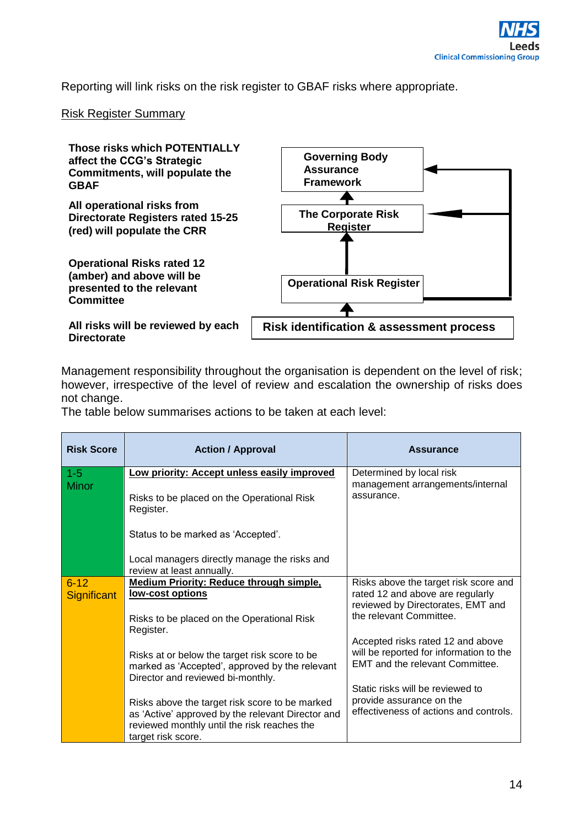Reporting will link risks on the risk register to GBAF risks where appropriate.

#### Risk Register Summary



Management responsibility throughout the organisation is dependent on the level of risk; however, irrespective of the level of review and escalation the ownership of risks does not change.

The table below summarises actions to be taken at each level:

| <b>Risk Score</b>  | <b>Action / Approval</b>                                                                                                             | <b>Assurance</b>                                                             |
|--------------------|--------------------------------------------------------------------------------------------------------------------------------------|------------------------------------------------------------------------------|
| $1 - 5$            | Low priority: Accept unless easily improved                                                                                          | Determined by local risk                                                     |
| <b>Minor</b>       | Risks to be placed on the Operational Risk<br>Register.                                                                              | management arrangements/internal<br>assurance.                               |
|                    | Status to be marked as 'Accepted'.                                                                                                   |                                                                              |
|                    | Local managers directly manage the risks and<br>review at least annually.                                                            |                                                                              |
| $6 - 12$           | <b>Medium Priority: Reduce through simple,</b><br>low-cost options                                                                   | Risks above the target risk score and<br>rated 12 and above are regularly    |
| <b>Significant</b> |                                                                                                                                      | reviewed by Directorates, EMT and                                            |
|                    | Risks to be placed on the Operational Risk<br>Register.                                                                              | the relevant Committee.                                                      |
|                    |                                                                                                                                      | Accepted risks rated 12 and above<br>will be reported for information to the |
|                    | Risks at or below the target risk score to be<br>marked as 'Accepted', approved by the relevant<br>Director and reviewed bi-monthly. | EMT and the relevant Committee.                                              |
|                    |                                                                                                                                      | Static risks will be reviewed to                                             |
|                    | Risks above the target risk score to be marked<br>as 'Active' approved by the relevant Director and                                  | provide assurance on the<br>effectiveness of actions and controls.           |
|                    | reviewed monthly until the risk reaches the<br>target risk score.                                                                    |                                                                              |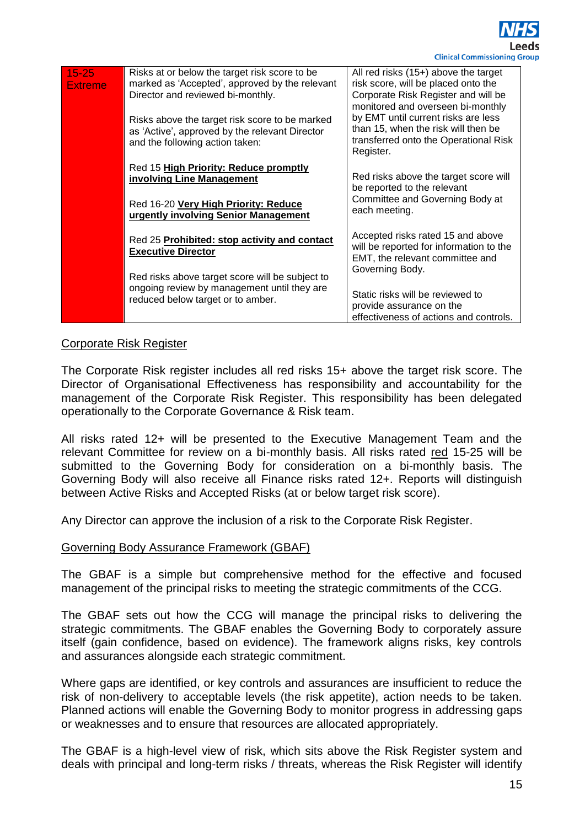

| $15 - 25$<br><b>Extreme</b> | Risks at or below the target risk score to be<br>marked as 'Accepted', approved by the relevant<br>Director and reviewed bi-monthly. | All red risks $(15+)$ above the target<br>risk score, will be placed onto the<br>Corporate Risk Register and will be<br>monitored and overseen bi-monthly |  |  |  |  |  |
|-----------------------------|--------------------------------------------------------------------------------------------------------------------------------------|-----------------------------------------------------------------------------------------------------------------------------------------------------------|--|--|--|--|--|
|                             | Risks above the target risk score to be marked<br>as 'Active', approved by the relevant Director<br>and the following action taken:  | by EMT until current risks are less<br>than 15, when the risk will then be<br>transferred onto the Operational Risk<br>Register.                          |  |  |  |  |  |
|                             | Red 15 High Priority: Reduce promptly<br>involving Line Management                                                                   | Red risks above the target score will<br>be reported to the relevant                                                                                      |  |  |  |  |  |
|                             | Red 16-20 Very High Priority: Reduce<br>urgently involving Senior Management                                                         | Committee and Governing Body at<br>each meeting.                                                                                                          |  |  |  |  |  |
|                             | Red 25 Prohibited: stop activity and contact<br><b>Executive Director</b>                                                            | Accepted risks rated 15 and above<br>will be reported for information to the<br>EMT, the relevant committee and                                           |  |  |  |  |  |
|                             | Red risks above target score will be subject to<br>ongoing review by management until they are<br>reduced below target or to amber.  | Governing Body.<br>Static risks will be reviewed to<br>provide assurance on the<br>effectiveness of actions and controls.                                 |  |  |  |  |  |

#### Corporate Risk Register

The Corporate Risk register includes all red risks 15+ above the target risk score. The Director of Organisational Effectiveness has responsibility and accountability for the management of the Corporate Risk Register. This responsibility has been delegated operationally to the Corporate Governance & Risk team.

All risks rated 12+ will be presented to the Executive Management Team and the relevant Committee for review on a bi-monthly basis. All risks rated red 15-25 will be submitted to the Governing Body for consideration on a bi-monthly basis. The Governing Body will also receive all Finance risks rated 12+. Reports will distinguish between Active Risks and Accepted Risks (at or below target risk score).

Any Director can approve the inclusion of a risk to the Corporate Risk Register.

#### Governing Body Assurance Framework (GBAF)

The GBAF is a simple but comprehensive method for the effective and focused management of the principal risks to meeting the strategic commitments of the CCG.

The GBAF sets out how the CCG will manage the principal risks to delivering the strategic commitments. The GBAF enables the Governing Body to corporately assure itself (gain confidence, based on evidence). The framework aligns risks, key controls and assurances alongside each strategic commitment.

Where gaps are identified, or key controls and assurances are insufficient to reduce the risk of non-delivery to acceptable levels (the risk appetite), action needs to be taken. Planned actions will enable the Governing Body to monitor progress in addressing gaps or weaknesses and to ensure that resources are allocated appropriately.

The GBAF is a high-level view of risk, which sits above the Risk Register system and deals with principal and long-term risks / threats, whereas the Risk Register will identify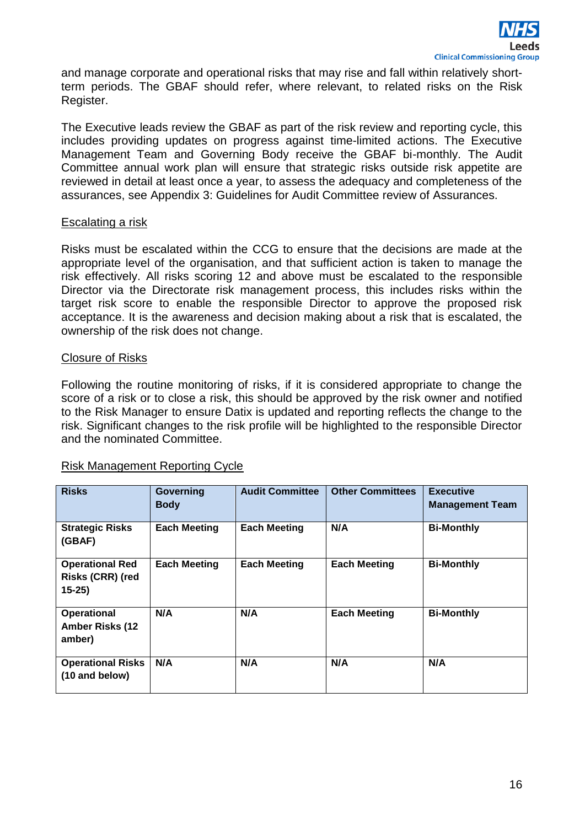and manage corporate and operational risks that may rise and fall within relatively shortterm periods. The GBAF should refer, where relevant, to related risks on the Risk Register.

The Executive leads review the GBAF as part of the risk review and reporting cycle, this includes providing updates on progress against time-limited actions. The Executive Management Team and Governing Body receive the GBAF bi-monthly. The Audit Committee annual work plan will ensure that strategic risks outside risk appetite are reviewed in detail at least once a year, to assess the adequacy and completeness of the assurances, see Appendix 3: Guidelines for Audit Committee review of Assurances.

#### Escalating a risk

Risks must be escalated within the CCG to ensure that the decisions are made at the appropriate level of the organisation, and that sufficient action is taken to manage the risk effectively. All risks scoring 12 and above must be escalated to the responsible Director via the Directorate risk management process, this includes risks within the target risk score to enable the responsible Director to approve the proposed risk acceptance. It is the awareness and decision making about a risk that is escalated, the ownership of the risk does not change.

## Closure of Risks

Following the routine monitoring of risks, if it is considered appropriate to change the score of a risk or to close a risk, this should be approved by the risk owner and notified to the Risk Manager to ensure Datix is updated and reporting reflects the change to the risk. Significant changes to the risk profile will be highlighted to the responsible Director and the nominated Committee.

#### Risk Management Reporting Cycle

| <b>Risks</b>                                           | Governing<br><b>Body</b> | <b>Audit Committee</b> | <b>Other Committees</b> | <b>Executive</b><br><b>Management Team</b> |
|--------------------------------------------------------|--------------------------|------------------------|-------------------------|--------------------------------------------|
| <b>Strategic Risks</b><br>(GBAF)                       | <b>Each Meeting</b>      | <b>Each Meeting</b>    | N/A                     | <b>Bi-Monthly</b>                          |
| <b>Operational Red</b><br>Risks (CRR) (red<br>$15-25$  | <b>Each Meeting</b>      | <b>Each Meeting</b>    | <b>Each Meeting</b>     | <b>Bi-Monthly</b>                          |
| <b>Operational</b><br><b>Amber Risks (12</b><br>amber) | N/A                      | N/A                    | <b>Each Meeting</b>     | <b>Bi-Monthly</b>                          |
| <b>Operational Risks</b><br>(10 and below)             | N/A                      | N/A                    | N/A                     | N/A                                        |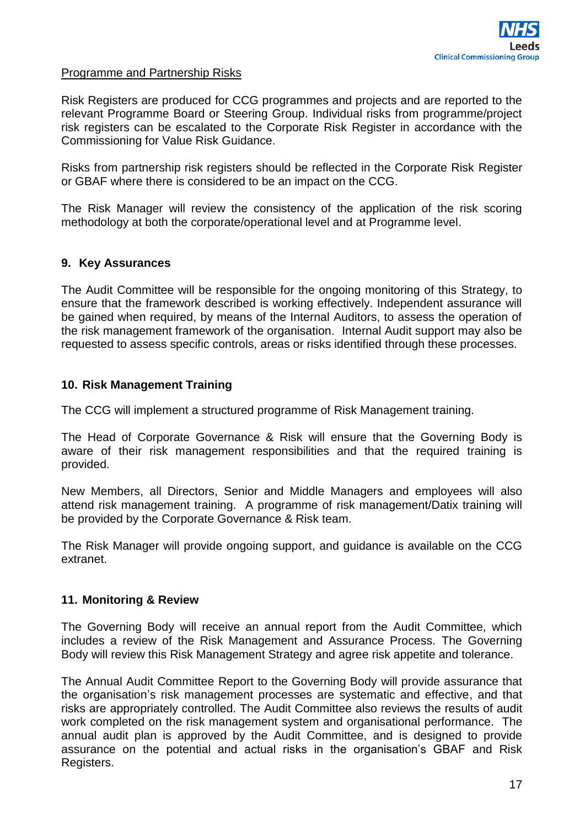#### Programme and Partnership Risks

Risk Registers are produced for CCG programmes and projects and are reported to the relevant Programme Board or Steering Group. Individual risks from programme/project risk registers can be escalated to the Corporate Risk Register in accordance with the Commissioning for Value Risk Guidance.

Risks from partnership risk registers should be reflected in the Corporate Risk Register or GBAF where there is considered to be an impact on the CCG.

The Risk Manager will review the consistency of the application of the risk scoring methodology at both the corporate/operational level and at Programme level.

## **9. Key Assurances**

The Audit Committee will be responsible for the ongoing monitoring of this Strategy, to ensure that the framework described is working effectively. Independent assurance will be gained when required, by means of the Internal Auditors, to assess the operation of the risk management framework of the organisation. Internal Audit support may also be requested to assess specific controls, areas or risks identified through these processes.

#### **10. Risk Management Training**

The CCG will implement a structured programme of Risk Management training.

The Head of Corporate Governance & Risk will ensure that the Governing Body is aware of their risk management responsibilities and that the required training is provided.

New Members, all Directors, Senior and Middle Managers and employees will also attend risk management training. A programme of risk management/Datix training will be provided by the Corporate Governance & Risk team.

The Risk Manager will provide ongoing support, and guidance is available on the CCG extranet.

#### **11. Monitoring & Review**

The Governing Body will receive an annual report from the Audit Committee, which includes a review of the Risk Management and Assurance Process. The Governing Body will review this Risk Management Strategy and agree risk appetite and tolerance.

The Annual Audit Committee Report to the Governing Body will provide assurance that the organisation's risk management processes are systematic and effective, and that risks are appropriately controlled. The Audit Committee also reviews the results of audit work completed on the risk management system and organisational performance. The annual audit plan is approved by the Audit Committee, and is designed to provide assurance on the potential and actual risks in the organisation's GBAF and Risk Registers.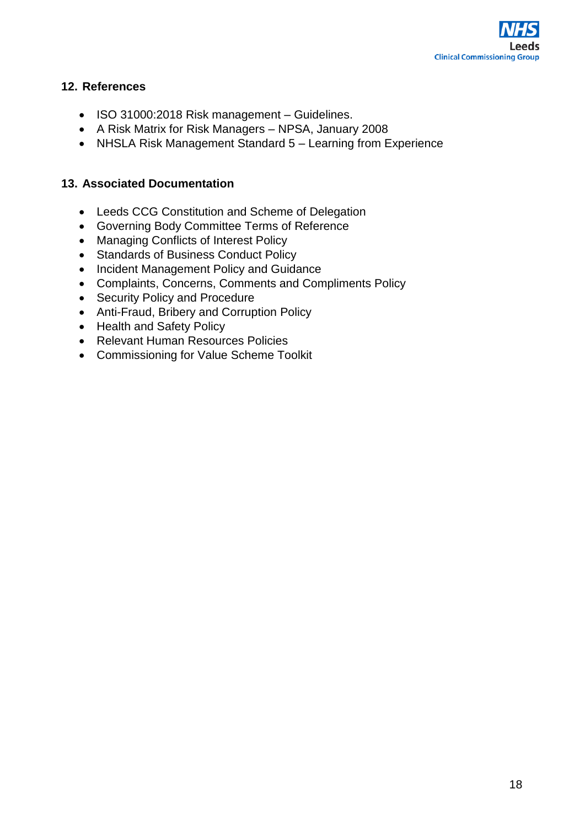

## **12. References**

- ISO 31000:2018 Risk management Guidelines.
- A Risk Matrix for Risk Managers NPSA, January 2008
- NHSLA Risk Management Standard 5 Learning from Experience

## **13. Associated Documentation**

- Leeds CCG Constitution and Scheme of Delegation
- Governing Body Committee Terms of Reference
- Managing Conflicts of Interest Policy
- Standards of Business Conduct Policy
- Incident Management Policy and Guidance
- Complaints, Concerns, Comments and Compliments Policy
- Security Policy and Procedure
- Anti-Fraud, Bribery and Corruption Policy
- Health and Safety Policy
- Relevant Human Resources Policies
- Commissioning for Value Scheme Toolkit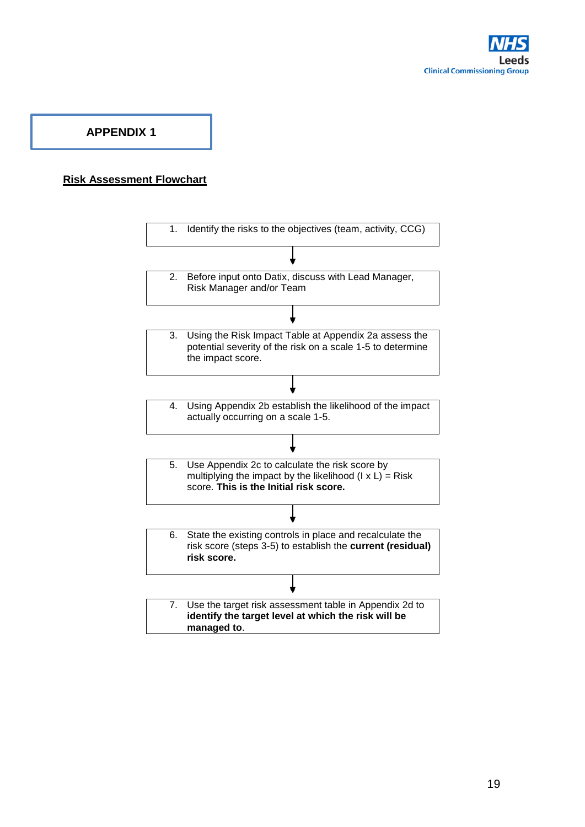

## **APPENDIX 1**

#### **Risk Assessment Flowchart**

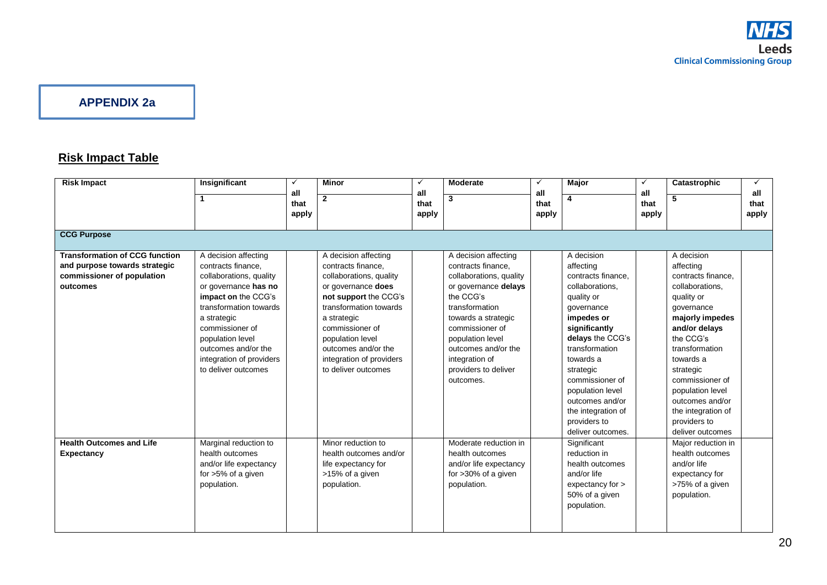## **APPENDIX 2a**

# **Risk Impact Table**

| <b>Risk Impact</b>                                                                                               | Insignificant                                                                                                                                                                                                                                                                  | ✓                    | <b>Minor</b>                                                                                                                                                                                                                                                                   | $\checkmark$         | <b>Moderate</b>                                                                                                                                                                                                                                                          | $\checkmark$         | Major                                                                                                                                                                                                                                                                                                            | $\checkmark$         | Catastrophic                                                                                                                                                                                                                                                                                                  | ✓                    |
|------------------------------------------------------------------------------------------------------------------|--------------------------------------------------------------------------------------------------------------------------------------------------------------------------------------------------------------------------------------------------------------------------------|----------------------|--------------------------------------------------------------------------------------------------------------------------------------------------------------------------------------------------------------------------------------------------------------------------------|----------------------|--------------------------------------------------------------------------------------------------------------------------------------------------------------------------------------------------------------------------------------------------------------------------|----------------------|------------------------------------------------------------------------------------------------------------------------------------------------------------------------------------------------------------------------------------------------------------------------------------------------------------------|----------------------|---------------------------------------------------------------------------------------------------------------------------------------------------------------------------------------------------------------------------------------------------------------------------------------------------------------|----------------------|
|                                                                                                                  | $\mathbf 1$                                                                                                                                                                                                                                                                    | all<br>that<br>apply | $\overline{2}$                                                                                                                                                                                                                                                                 | all<br>that<br>apply | 3                                                                                                                                                                                                                                                                        | all<br>that<br>apply |                                                                                                                                                                                                                                                                                                                  | all<br>that<br>apply | 5                                                                                                                                                                                                                                                                                                             | all<br>that<br>apply |
| <b>CCG Purpose</b>                                                                                               |                                                                                                                                                                                                                                                                                |                      |                                                                                                                                                                                                                                                                                |                      |                                                                                                                                                                                                                                                                          |                      |                                                                                                                                                                                                                                                                                                                  |                      |                                                                                                                                                                                                                                                                                                               |                      |
| <b>Transformation of CCG function</b><br>and purpose towards strategic<br>commissioner of population<br>outcomes | A decision affecting<br>contracts finance,<br>collaborations, quality<br>or governance has no<br>impact on the CCG's<br>transformation towards<br>a strategic<br>commissioner of<br>population level<br>outcomes and/or the<br>integration of providers<br>to deliver outcomes |                      | A decision affecting<br>contracts finance,<br>collaborations, quality<br>or governance does<br>not support the CCG's<br>transformation towards<br>a strategic<br>commissioner of<br>population level<br>outcomes and/or the<br>integration of providers<br>to deliver outcomes |                      | A decision affecting<br>contracts finance,<br>collaborations, quality<br>or governance delays<br>the CCG's<br>transformation<br>towards a strategic<br>commissioner of<br>population level<br>outcomes and/or the<br>integration of<br>providers to deliver<br>outcomes. |                      | A decision<br>affecting<br>contracts finance.<br>collaborations.<br>quality or<br>governance<br>impedes or<br>significantly<br>delays the CCG's<br>transformation<br>towards a<br>strategic<br>commissioner of<br>population level<br>outcomes and/or<br>the integration of<br>providers to<br>deliver outcomes. |                      | A decision<br>affecting<br>contracts finance.<br>collaborations.<br>quality or<br>qovernance<br>majorly impedes<br>and/or delays<br>the CCG's<br>transformation<br>towards a<br>strategic<br>commissioner of<br>population level<br>outcomes and/or<br>the integration of<br>providers to<br>deliver outcomes |                      |
| <b>Health Outcomes and Life</b><br><b>Expectancy</b>                                                             | Marginal reduction to<br>health outcomes<br>and/or life expectancy<br>for >5% of a given<br>population.                                                                                                                                                                        |                      | Minor reduction to<br>health outcomes and/or<br>life expectancy for<br>>15% of a given<br>population.                                                                                                                                                                          |                      | Moderate reduction in<br>health outcomes<br>and/or life expectancy<br>for $>30\%$ of a given<br>population.                                                                                                                                                              |                      | Significant<br>reduction in<br>health outcomes<br>and/or life<br>expectancy for ><br>50% of a given<br>population.                                                                                                                                                                                               |                      | Major reduction in<br>health outcomes<br>and/or life<br>expectancy for<br>>75% of a given<br>population.                                                                                                                                                                                                      |                      |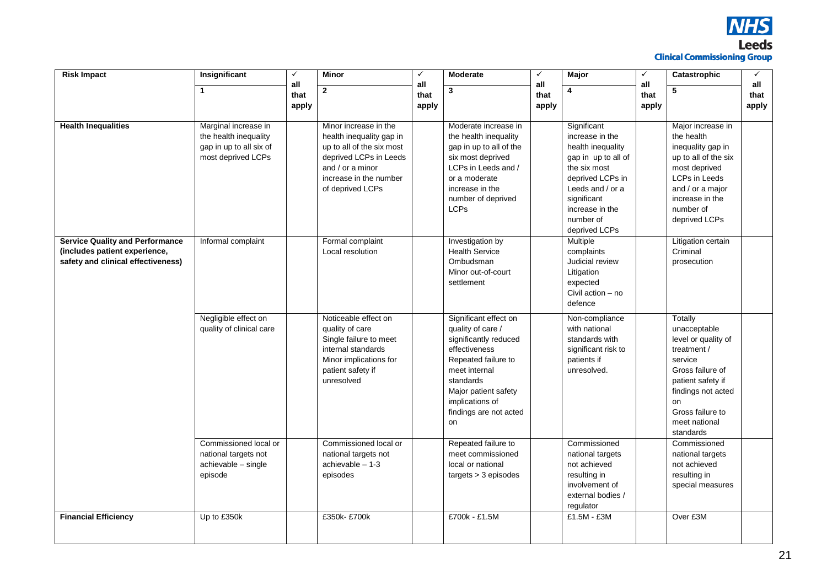

| <b>Risk Impact</b>                     | Insignificant            | $\checkmark$<br>all | Minor                     | $\checkmark$<br>all | <b>Moderate</b>         | $\checkmark$<br>all | <b>Major</b>                  | $\checkmark$<br>all | Catastrophic                   | $\checkmark$<br>all |
|----------------------------------------|--------------------------|---------------------|---------------------------|---------------------|-------------------------|---------------------|-------------------------------|---------------------|--------------------------------|---------------------|
|                                        | $\mathbf{1}$             | that                | $\mathbf{2}$              | that                | 3                       | that                | 4                             | that                | 5                              | that                |
|                                        |                          | apply               |                           | apply               |                         | apply               |                               | apply               |                                | apply               |
|                                        |                          |                     |                           |                     |                         |                     |                               |                     |                                |                     |
| <b>Health Inequalities</b>             | Marginal increase in     |                     | Minor increase in the     |                     | Moderate increase in    |                     | Significant                   |                     | Major increase in              |                     |
|                                        | the health inequality    |                     | health inequality gap in  |                     | the health inequality   |                     | increase in the               |                     | the health                     |                     |
|                                        | gap in up to all six of  |                     | up to all of the six most |                     | gap in up to all of the |                     | health inequality             |                     | inequality gap in              |                     |
|                                        | most deprived LCPs       |                     | deprived LCPs in Leeds    |                     | six most deprived       |                     | gap in up to all of           |                     | up to all of the six           |                     |
|                                        |                          |                     | and $/$ or a minor        |                     | LCPs in Leeds and /     |                     | the six most                  |                     | most deprived                  |                     |
|                                        |                          |                     | increase in the number    |                     | or a moderate           |                     | deprived LCPs in              |                     | <b>LCPs in Leeds</b>           |                     |
|                                        |                          |                     | of deprived LCPs          |                     | increase in the         |                     | Leeds and / or a              |                     | and / or a major               |                     |
|                                        |                          |                     |                           |                     | number of deprived      |                     | significant                   |                     | increase in the                |                     |
|                                        |                          |                     |                           |                     | <b>LCPs</b>             |                     | increase in the               |                     | number of                      |                     |
|                                        |                          |                     |                           |                     |                         |                     | number of                     |                     | deprived LCPs                  |                     |
|                                        |                          |                     |                           |                     |                         |                     | deprived LCPs                 |                     |                                |                     |
| <b>Service Quality and Performance</b> | Informal complaint       |                     | Formal complaint          |                     | Investigation by        |                     | Multiple                      |                     | Litigation certain<br>Criminal |                     |
| (includes patient experience,          |                          |                     | Local resolution          |                     | <b>Health Service</b>   |                     | complaints<br>Judicial review |                     |                                |                     |
| safety and clinical effectiveness)     |                          |                     |                           |                     | Ombudsman               |                     |                               |                     | prosecution                    |                     |
|                                        |                          |                     |                           |                     | Minor out-of-court      |                     | Litigation                    |                     |                                |                     |
|                                        |                          |                     |                           |                     | settlement              |                     | expected<br>Civil action - no |                     |                                |                     |
|                                        |                          |                     |                           |                     |                         |                     | defence                       |                     |                                |                     |
|                                        |                          |                     |                           |                     |                         |                     |                               |                     |                                |                     |
|                                        | Negligible effect on     |                     | Noticeable effect on      |                     | Significant effect on   |                     | Non-compliance                |                     | Totally                        |                     |
|                                        | quality of clinical care |                     | quality of care           |                     | quality of care /       |                     | with national                 |                     | unacceptable                   |                     |
|                                        |                          |                     | Single failure to meet    |                     | significantly reduced   |                     | standards with                |                     | level or quality of            |                     |
|                                        |                          |                     | internal standards        |                     | effectiveness           |                     | significant risk to           |                     | treatment /                    |                     |
|                                        |                          |                     | Minor implications for    |                     | Repeated failure to     |                     | patients if                   |                     | service                        |                     |
|                                        |                          |                     | patient safety if         |                     | meet internal           |                     | unresolved.                   |                     | Gross failure of               |                     |
|                                        |                          |                     | unresolved                |                     | standards               |                     |                               |                     | patient safety if              |                     |
|                                        |                          |                     |                           |                     | Major patient safety    |                     |                               |                     | findings not acted             |                     |
|                                        |                          |                     |                           |                     | implications of         |                     |                               |                     | on                             |                     |
|                                        |                          |                     |                           |                     | findings are not acted  |                     |                               |                     | Gross failure to               |                     |
|                                        |                          |                     |                           |                     | on                      |                     |                               |                     | meet national                  |                     |
|                                        |                          |                     |                           |                     |                         |                     |                               |                     | standards                      |                     |
|                                        | Commissioned local or    |                     | Commissioned local or     |                     | Repeated failure to     |                     | Commissioned                  |                     | Commissioned                   |                     |
|                                        | national targets not     |                     | national targets not      |                     | meet commissioned       |                     | national targets              |                     | national targets               |                     |
|                                        | achievable - single      |                     | $achievable - 1-3$        |                     | local or national       |                     | not achieved                  |                     | not achieved                   |                     |
|                                        | episode                  |                     | episodes                  |                     | targets > 3 episodes    |                     | resulting in                  |                     | resulting in                   |                     |
|                                        |                          |                     |                           |                     |                         |                     | involvement of                |                     | special measures               |                     |
|                                        |                          |                     |                           |                     |                         |                     | external bodies /             |                     |                                |                     |
|                                        |                          |                     |                           |                     |                         |                     | regulator                     |                     |                                |                     |
| <b>Financial Efficiency</b>            | Up to £350k              |                     | £350k-£700k               |                     | £700k - £1.5M           |                     | £1.5M - £3M                   |                     | Over £3M                       |                     |
|                                        |                          |                     |                           |                     |                         |                     |                               |                     |                                |                     |
|                                        |                          |                     |                           |                     |                         |                     |                               |                     |                                |                     |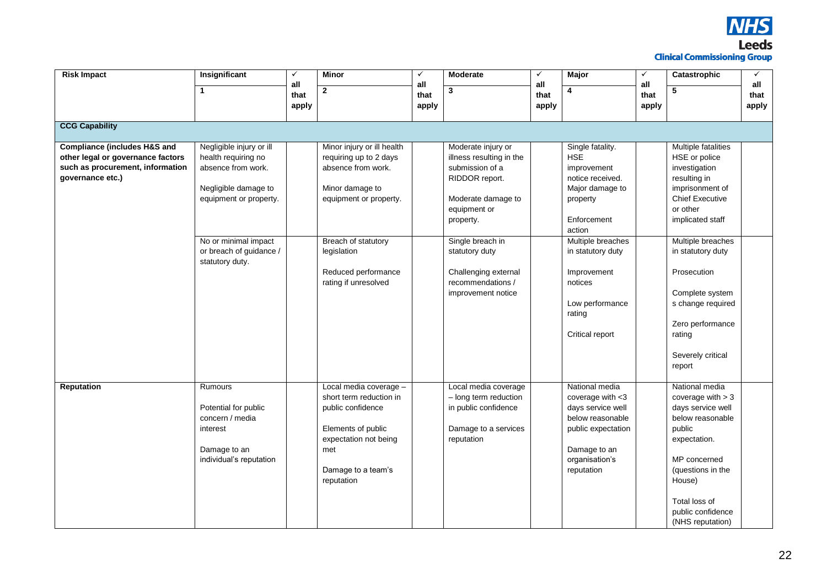

| <b>Risk Impact</b>                                                                                                                   | Insignificant                                                                                                           | $\checkmark$         | <b>Minor</b>                                                                                                                                                     | $\checkmark$         | <b>Moderate</b>                                                                                                                        | $\checkmark$         | <b>Major</b>                                                                                                                                         | $\checkmark$         | Catastrophic                                                                                                                                                                                                      | $\checkmark$         |
|--------------------------------------------------------------------------------------------------------------------------------------|-------------------------------------------------------------------------------------------------------------------------|----------------------|------------------------------------------------------------------------------------------------------------------------------------------------------------------|----------------------|----------------------------------------------------------------------------------------------------------------------------------------|----------------------|------------------------------------------------------------------------------------------------------------------------------------------------------|----------------------|-------------------------------------------------------------------------------------------------------------------------------------------------------------------------------------------------------------------|----------------------|
|                                                                                                                                      | $\mathbf{1}$                                                                                                            | all<br>that<br>apply | $\overline{2}$                                                                                                                                                   | all<br>that<br>apply | 3                                                                                                                                      | all<br>that<br>apply | 4                                                                                                                                                    | all<br>that<br>apply | 5                                                                                                                                                                                                                 | all<br>that<br>apply |
| <b>CCG Capability</b>                                                                                                                |                                                                                                                         |                      |                                                                                                                                                                  |                      |                                                                                                                                        |                      |                                                                                                                                                      |                      |                                                                                                                                                                                                                   |                      |
| <b>Compliance (includes H&amp;S and</b><br>other legal or governance factors<br>such as procurement, information<br>governance etc.) | Negligible injury or ill<br>health requiring no<br>absence from work.<br>Negligible damage to<br>equipment or property. |                      | Minor injury or ill health<br>requiring up to 2 days<br>absence from work.<br>Minor damage to<br>equipment or property.                                          |                      | Moderate injury or<br>illness resulting in the<br>submission of a<br>RIDDOR report.<br>Moderate damage to<br>equipment or<br>property. |                      | Single fatality.<br><b>HSE</b><br>improvement<br>notice received.<br>Major damage to<br>property<br>Enforcement<br>action                            |                      | Multiple fatalities<br>HSE or police<br>investigation<br>resulting in<br>imprisonment of<br><b>Chief Executive</b><br>or other<br>implicated staff                                                                |                      |
|                                                                                                                                      | No or minimal impact<br>or breach of guidance /<br>statutory duty.                                                      |                      | Breach of statutory<br>legislation<br>Reduced performance<br>rating if unresolved                                                                                |                      | Single breach in<br>statutory duty<br>Challenging external<br>recommendations /<br>improvement notice                                  |                      | Multiple breaches<br>in statutory duty<br>Improvement<br>notices<br>Low performance<br>rating<br>Critical report                                     |                      | Multiple breaches<br>in statutory duty<br>Prosecution<br>Complete system<br>s change required<br>Zero performance<br>rating<br>Severely critical<br>report                                                        |                      |
| <b>Reputation</b>                                                                                                                    | Rumours<br>Potential for public<br>concern / media<br>interest<br>Damage to an<br>individual's reputation               |                      | Local media coverage -<br>short term reduction in<br>public confidence<br>Elements of public<br>expectation not being<br>met<br>Damage to a team's<br>reputation |                      | Local media coverage<br>- long term reduction<br>in public confidence<br>Damage to a services<br>reputation                            |                      | National media<br>coverage with $<$ 3<br>days service well<br>below reasonable<br>public expectation<br>Damage to an<br>organisation's<br>reputation |                      | National media<br>coverage with $>$ 3<br>days service well<br>below reasonable<br>public<br>expectation.<br>MP concerned<br>(questions in the<br>House)<br>Total loss of<br>public confidence<br>(NHS reputation) |                      |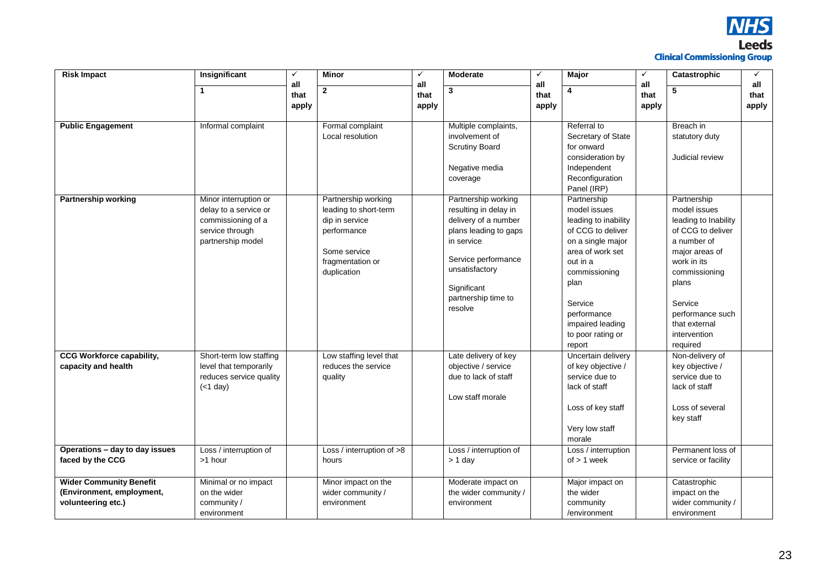

| <b>Risk Impact</b>               | Insignificant           | ✓           | <b>Minor</b>              | $\checkmark$ | <b>Moderate</b>        | ✓           | <b>Major</b>         | $\checkmark$ | Catastrophic         | $\checkmark$ |
|----------------------------------|-------------------------|-------------|---------------------------|--------------|------------------------|-------------|----------------------|--------------|----------------------|--------------|
|                                  | $\mathbf{1}$            | all<br>that | $\mathbf{2}$              | all<br>that  | 3                      | all<br>that | 4                    | all<br>that  | 5                    | all<br>that  |
|                                  |                         | apply       |                           | apply        |                        |             |                      |              |                      | apply        |
|                                  |                         |             |                           |              |                        | apply       |                      | apply        |                      |              |
| <b>Public Engagement</b>         | Informal complaint      |             | Formal complaint          |              | Multiple complaints,   |             | Referral to          |              | Breach in            |              |
|                                  |                         |             | Local resolution          |              | involvement of         |             | Secretary of State   |              | statutory duty       |              |
|                                  |                         |             |                           |              | <b>Scrutiny Board</b>  |             | for onward           |              |                      |              |
|                                  |                         |             |                           |              |                        |             | consideration by     |              | Judicial review      |              |
|                                  |                         |             |                           |              | Negative media         |             | Independent          |              |                      |              |
|                                  |                         |             |                           |              | coverage               |             | Reconfiguration      |              |                      |              |
|                                  |                         |             |                           |              |                        |             | Panel (IRP)          |              |                      |              |
| <b>Partnership working</b>       | Minor interruption or   |             | Partnership working       |              | Partnership working    |             | Partnership          |              | Partnership          |              |
|                                  | delay to a service or   |             | leading to short-term     |              | resulting in delay in  |             | model issues         |              | model issues         |              |
|                                  | commissioning of a      |             | dip in service            |              | delivery of a number   |             | leading to inability |              | leading to Inability |              |
|                                  | service through         |             | performance               |              | plans leading to gaps  |             | of CCG to deliver    |              | of CCG to deliver    |              |
|                                  | partnership model       |             |                           |              | in service             |             | on a single major    |              | a number of          |              |
|                                  |                         |             | Some service              |              |                        |             | area of work set     |              | major areas of       |              |
|                                  |                         |             | fragmentation or          |              | Service performance    |             | out in a             |              | work in its          |              |
|                                  |                         |             | duplication               |              | unsatisfactory         |             | commissioning        |              | commissioning        |              |
|                                  |                         |             |                           |              | Significant            |             | plan                 |              | plans                |              |
|                                  |                         |             |                           |              | partnership time to    |             | Service              |              | Service              |              |
|                                  |                         |             |                           |              | resolve                |             | performance          |              | performance such     |              |
|                                  |                         |             |                           |              |                        |             | impaired leading     |              | that external        |              |
|                                  |                         |             |                           |              |                        |             | to poor rating or    |              | intervention         |              |
|                                  |                         |             |                           |              |                        |             | report               |              | required             |              |
| <b>CCG Workforce capability,</b> | Short-term low staffing |             | Low staffing level that   |              | Late delivery of key   |             | Uncertain delivery   |              | Non-delivery of      |              |
| capacity and health              | level that temporarily  |             | reduces the service       |              | objective / service    |             | of key objective /   |              | key objective /      |              |
|                                  | reduces service quality |             | quality                   |              | due to lack of staff   |             | service due to       |              | service due to       |              |
|                                  | $(1 day)$               |             |                           |              |                        |             | lack of staff        |              | lack of staff        |              |
|                                  |                         |             |                           |              | Low staff morale       |             |                      |              |                      |              |
|                                  |                         |             |                           |              |                        |             | Loss of key staff    |              | Loss of several      |              |
|                                  |                         |             |                           |              |                        |             |                      |              | key staff            |              |
|                                  |                         |             |                           |              |                        |             | Very low staff       |              |                      |              |
|                                  |                         |             |                           |              |                        |             | morale               |              |                      |              |
| Operations - day to day issues   | Loss / interruption of  |             | Loss / interruption of >8 |              | Loss / interruption of |             | Loss / interruption  |              | Permanent loss of    |              |
| faced by the CCG                 | >1 hour                 |             | hours                     |              | $> 1$ day              |             | of $> 1$ week        |              | service or facility  |              |
|                                  |                         |             |                           |              |                        |             |                      |              |                      |              |
| <b>Wider Community Benefit</b>   | Minimal or no impact    |             | Minor impact on the       |              | Moderate impact on     |             | Major impact on      |              | Catastrophic         |              |
| (Environment, employment,        | on the wider            |             | wider community /         |              | the wider community /  |             | the wider            |              | impact on the        |              |
| volunteering etc.)               | community /             |             | environment               |              | environment            |             | community            |              | wider community /    |              |
|                                  | environment             |             |                           |              |                        |             | /environment         |              | environment          |              |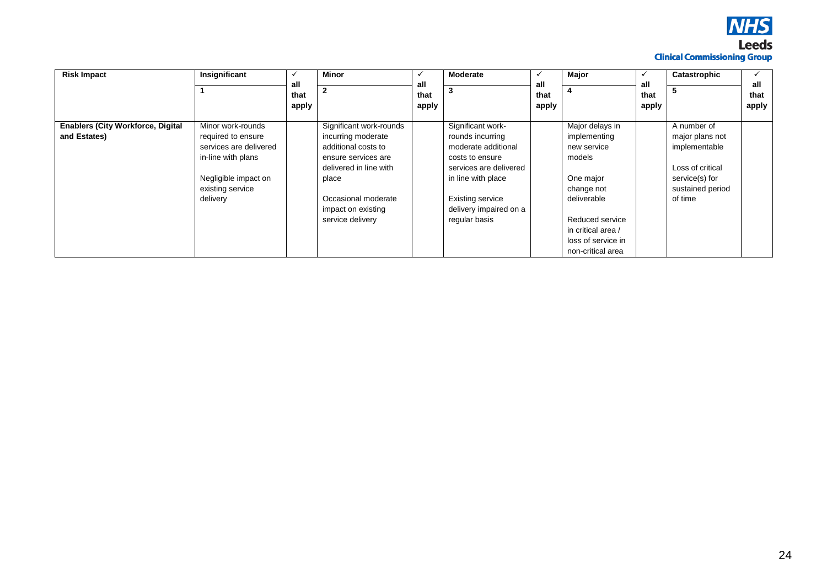

| <b>Risk Impact</b>                       | Insignificant          | all<br>that<br>apply | <b>Minor</b><br>2       | all<br>that<br>apply | <b>Moderate</b><br>3    | all<br>that<br>apply | Major              | all<br>that<br>apply | Catastrophic     | all<br>that<br>apply |
|------------------------------------------|------------------------|----------------------|-------------------------|----------------------|-------------------------|----------------------|--------------------|----------------------|------------------|----------------------|
| <b>Enablers (City Workforce, Digital</b> | Minor work-rounds      |                      | Significant work-rounds |                      | Significant work-       |                      | Major delays in    |                      | A number of      |                      |
| and Estates)                             | required to ensure     |                      | incurring moderate      |                      | rounds incurring        |                      | implementing       |                      | major plans not  |                      |
|                                          | services are delivered |                      | additional costs to     |                      | moderate additional     |                      | new service        |                      | implementable    |                      |
|                                          | in-line with plans     |                      | ensure services are     |                      | costs to ensure         |                      | models             |                      |                  |                      |
|                                          |                        |                      | delivered in line with  |                      | services are delivered  |                      |                    |                      | Loss of critical |                      |
|                                          | Negligible impact on   |                      | place                   |                      | in line with place      |                      | One major          |                      | service(s) for   |                      |
|                                          | existing service       |                      |                         |                      |                         |                      | change not         |                      | sustained period |                      |
|                                          | delivery               |                      | Occasional moderate     |                      | <b>Existing service</b> |                      | deliverable        |                      | of time          |                      |
|                                          |                        |                      | impact on existing      |                      | delivery impaired on a  |                      |                    |                      |                  |                      |
|                                          |                        |                      | service delivery        |                      | regular basis           |                      | Reduced service    |                      |                  |                      |
|                                          |                        |                      |                         |                      |                         |                      | in critical area / |                      |                  |                      |
|                                          |                        |                      |                         |                      |                         |                      | loss of service in |                      |                  |                      |
|                                          |                        |                      |                         |                      |                         |                      | non-critical area  |                      |                  |                      |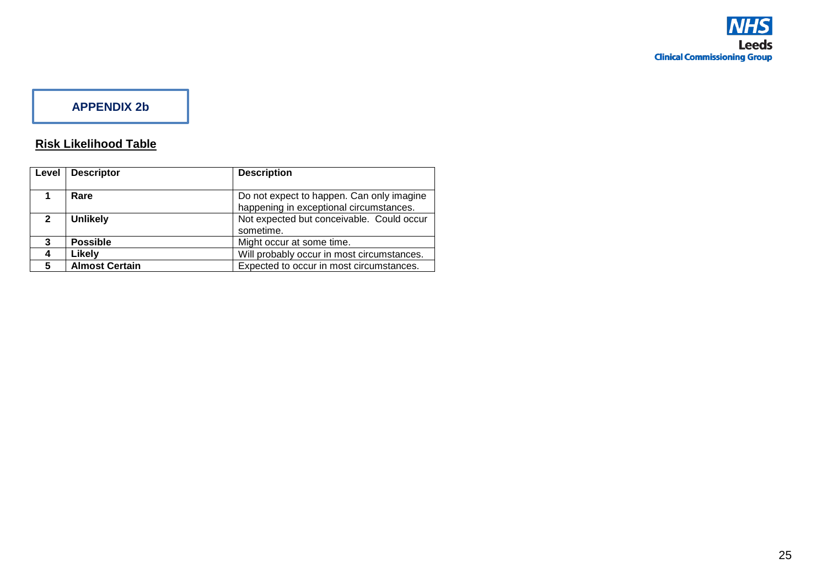# **APPENDIX 2b**

# **Risk Likelihood Table**

| Level          | <b>Descriptor</b>     | <b>Description</b>                                                                   |
|----------------|-----------------------|--------------------------------------------------------------------------------------|
|                | Rare                  | Do not expect to happen. Can only imagine<br>happening in exceptional circumstances. |
| $\mathfrak{p}$ | <b>Unlikely</b>       | Not expected but conceivable. Could occur<br>sometime.                               |
| 3              | <b>Possible</b>       | Might occur at some time.                                                            |
| 4              | Likely                | Will probably occur in most circumstances.                                           |
| 5              | <b>Almost Certain</b> | Expected to occur in most circumstances.                                             |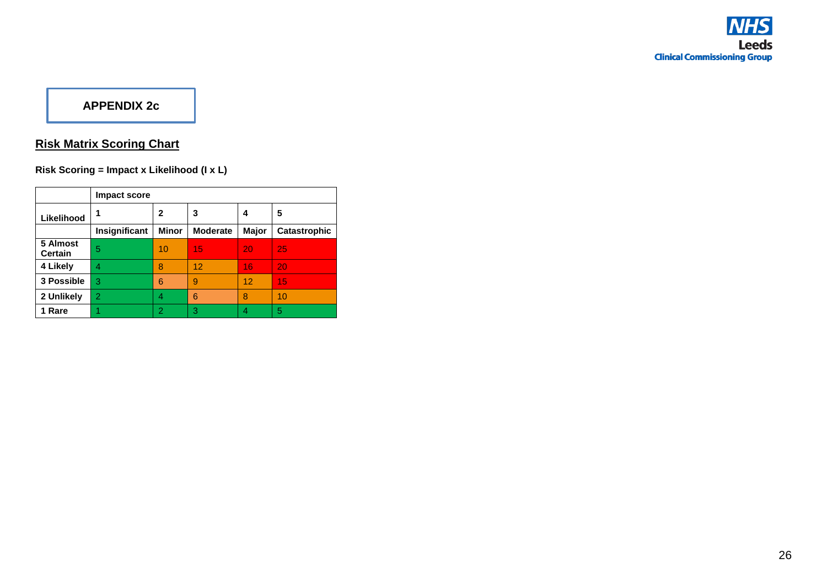# **APPENDIX 2c**

# **Risk Matrix Scoring Chart**

**Risk Scoring = Impact x Likelihood (I x L)**

|                            | <b>Impact score</b> |              |                 |       |                     |
|----------------------------|---------------------|--------------|-----------------|-------|---------------------|
| Likelihood                 | 1                   | 2            | 3               | 4     | 5                   |
|                            | Insignificant       | <b>Minor</b> | <b>Moderate</b> | Major | <b>Catastrophic</b> |
| 5 Almost<br><b>Certain</b> | 5                   | 10           | 15              | 20    | -25                 |
| 4 Likely                   | 4                   | 8            | 12              | 16    | 20                  |
| 3 Possible                 | 3                   | 6            | 9               | 12    | 15                  |
| 2 Unlikely                 | $\overline{2}$      |              | 6               | 8     | 10                  |
| 1 Rare                     |                     | 2            | 3               | 4     | 5                   |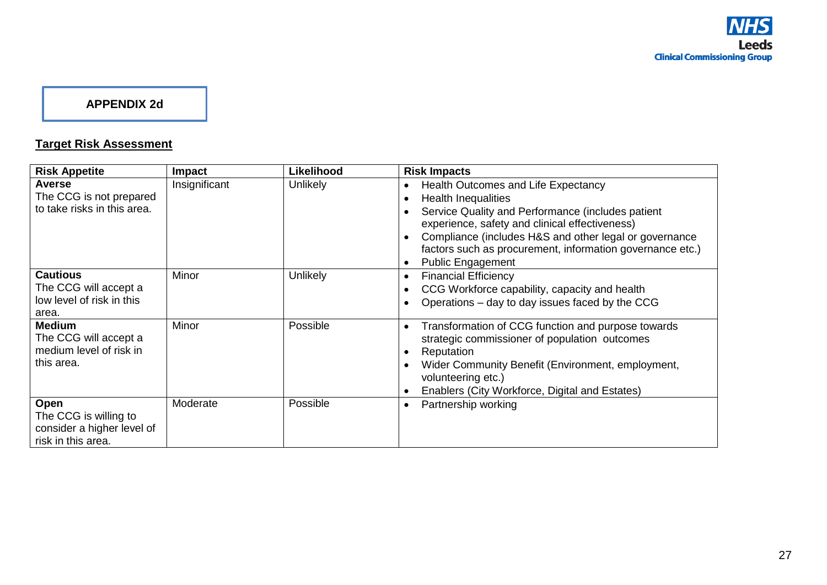## **APPENDIX 2d**

# **Target Risk Assessment**

| <b>Risk Appetite</b>                                                              | <b>Impact</b> | Likelihood      | <b>Risk Impacts</b>                                                                                                                                                                                                                                                                                                                                        |
|-----------------------------------------------------------------------------------|---------------|-----------------|------------------------------------------------------------------------------------------------------------------------------------------------------------------------------------------------------------------------------------------------------------------------------------------------------------------------------------------------------------|
| <b>Averse</b><br>The CCG is not prepared<br>to take risks in this area.           | Insignificant | <b>Unlikely</b> | Health Outcomes and Life Expectancy<br>$\bullet$<br><b>Health Inequalities</b><br>O<br>Service Quality and Performance (includes patient<br>experience, safety and clinical effectiveness)<br>Compliance (includes H&S and other legal or governance<br>factors such as procurement, information governance etc.)<br><b>Public Engagement</b><br>$\bullet$ |
| <b>Cautious</b><br>The CCG will accept a<br>low level of risk in this<br>area.    | Minor         | <b>Unlikely</b> | <b>Financial Efficiency</b><br>$\bullet$<br>CCG Workforce capability, capacity and health<br>Operations – day to day issues faced by the CCG                                                                                                                                                                                                               |
| <b>Medium</b><br>The CCG will accept a<br>medium level of risk in<br>this area.   | Minor         | Possible        | Transformation of CCG function and purpose towards<br>$\bullet$<br>strategic commissioner of population outcomes<br>Reputation<br>Wider Community Benefit (Environment, employment,<br>volunteering etc.)<br>Enablers (City Workforce, Digital and Estates)                                                                                                |
| Open<br>The CCG is willing to<br>consider a higher level of<br>risk in this area. | Moderate      | Possible        | Partnership working<br>$\bullet$                                                                                                                                                                                                                                                                                                                           |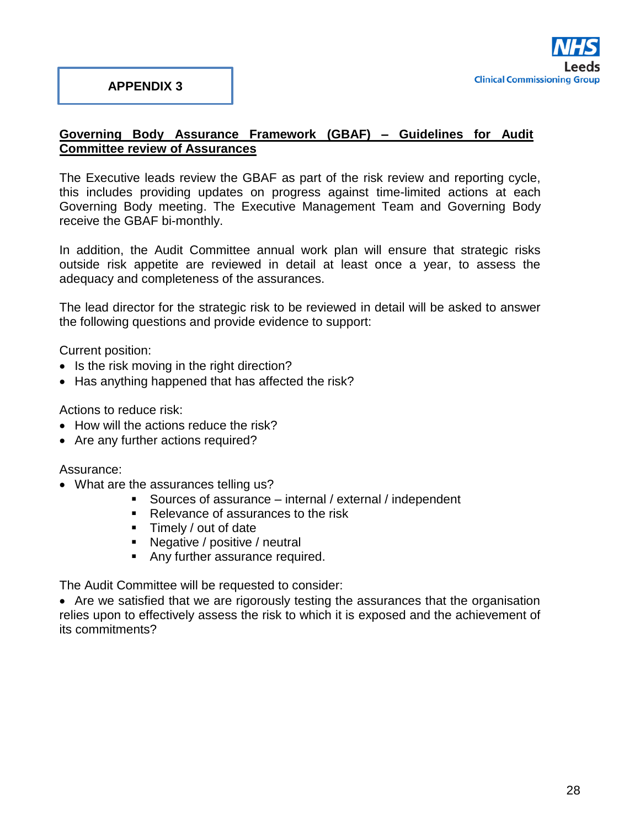

## **Governing Body Assurance Framework (GBAF) – Guidelines for Audit Committee review of Assurances**

The Executive leads review the GBAF as part of the risk review and reporting cycle, this includes providing updates on progress against time-limited actions at each Governing Body meeting. The Executive Management Team and Governing Body receive the GBAF bi-monthly.

In addition, the Audit Committee annual work plan will ensure that strategic risks outside risk appetite are reviewed in detail at least once a year, to assess the adequacy and completeness of the assurances.

The lead director for the strategic risk to be reviewed in detail will be asked to answer the following questions and provide evidence to support:

Current position:

- Is the risk moving in the right direction?
- Has anything happened that has affected the risk?

Actions to reduce risk:

- How will the actions reduce the risk?
- Are any further actions required?

Assurance:

- What are the assurances telling us?
	- Sources of assurance internal / external / independent
	- Relevance of assurances to the risk
	- **Timely / out of date**
	- Negative / positive / neutral
	- Any further assurance required.

The Audit Committee will be requested to consider:

• Are we satisfied that we are rigorously testing the assurances that the organisation relies upon to effectively assess the risk to which it is exposed and the achievement of its commitments?